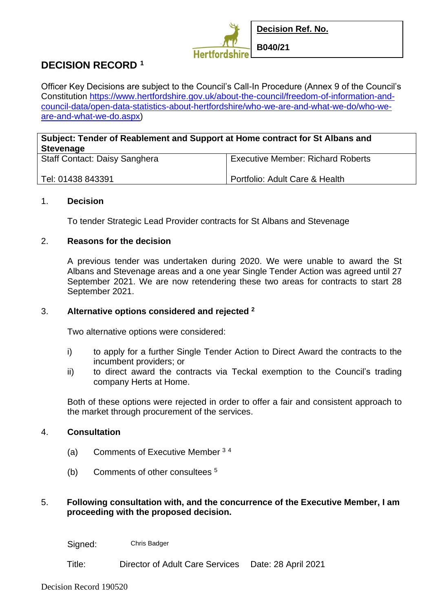

# **DECISION RECORD <sup>1</sup>**

Officer Key Decisions are subject to the Council's Call-In Procedure (Annex 9 of the Council's Constitution [https://www.hertfordshire.gov.uk/about-the-council/freedom-of-information-and](https://www.hertfordshire.gov.uk/about-the-council/freedom-of-information-and-council-data/open-data-statistics-about-hertfordshire/who-we-are-and-what-we-do/who-we-are-and-what-we-do.aspx)[council-data/open-data-statistics-about-hertfordshire/who-we-are-and-what-we-do/who-we](https://www.hertfordshire.gov.uk/about-the-council/freedom-of-information-and-council-data/open-data-statistics-about-hertfordshire/who-we-are-and-what-we-do/who-we-are-and-what-we-do.aspx)[are-and-what-we-do.aspx\)](https://www.hertfordshire.gov.uk/about-the-council/freedom-of-information-and-council-data/open-data-statistics-about-hertfordshire/who-we-are-and-what-we-do/who-we-are-and-what-we-do.aspx)

## **Subject: Tender of Reablement and Support at Home contract for St Albans and Stevenage**

| <b>Staff Contact: Daisy Sanghera</b> | Executive Member: Richard Roberts |
|--------------------------------------|-----------------------------------|
| Tel: 01438 843391                    | Portfolio: Adult Care & Health    |

#### 1. **Decision**

To tender Strategic Lead Provider contracts for St Albans and Stevenage

### 2. **Reasons for the decision**

A previous tender was undertaken during 2020. We were unable to award the St Albans and Stevenage areas and a one year Single Tender Action was agreed until 27 September 2021. We are now retendering these two areas for contracts to start 28 September 2021.

### 3. **Alternative options considered and rejected <sup>2</sup>**

Two alternative options were considered:

- i) to apply for a further Single Tender Action to Direct Award the contracts to the incumbent providers; or
- ii) to direct award the contracts via Teckal exemption to the Council's trading company Herts at Home.

Both of these options were rejected in order to offer a fair and consistent approach to the market through procurement of the services.

### 4. **Consultation**

- (a) Comments of Executive Member <sup>3</sup> <sup>4</sup>
- (b) Comments of other consultees <sup>5</sup>

### 5. **Following consultation with, and the concurrence of the Executive Member, I am proceeding with the proposed decision.**

Signed: Chris Badger

Title: Director of Adult Care Services Date: 28 April 2021